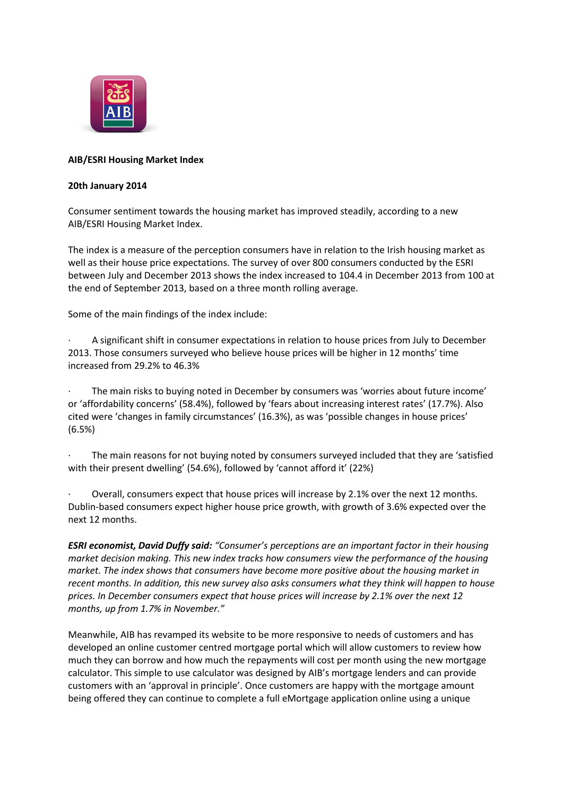

# **AIB/ESRI Housing Market Index**

# **20th January 2014**

Consumer sentiment towards the housing market has improved steadily, according to a new AIB/ESRI Housing Market Index.

The index is a measure of the perception consumers have in relation to the Irish housing market as well as their house price expectations. The survey of over 800 consumers conducted by the ESRI between July and December 2013 shows the index increased to 104.4 in December 2013 from 100 at the end of September 2013, based on a three month rolling average.

Some of the main findings of the index include:

· A significant shift in consumer expectations in relation to house prices from July to December 2013. Those consumers surveyed who believe house prices will be higher in 12 months' time increased from 29.2% to 46.3%

· The main risks to buying noted in December by consumers was 'worries about future income' or 'affordability concerns' (58.4%), followed by 'fears about increasing interest rates' (17.7%). Also cited were 'changes in family circumstances' (16.3%), as was 'possible changes in house prices' (6.5%)

The main reasons for not buying noted by consumers surveyed included that they are 'satisfied with their present dwelling' (54.6%), followed by 'cannot afford it' (22%)

Overall, consumers expect that house prices will increase by 2.1% over the next 12 months. Dublin-based consumers expect higher house price growth, with growth of 3.6% expected over the next 12 months.

*ESRI economist, David Duffy said: "Consumer's perceptions are an important factor in their housing market decision making. This new index tracks how consumers view the performance of the housing market. The index shows that consumers have become more positive about the housing market in recent months. In addition, this new survey also asks consumers what they think will happen to house prices. In December consumers expect that house prices will increase by 2.1% over the next 12 months, up from 1.7% in November."*

Meanwhile, AIB has revamped its website to be more responsive to needs of customers and has developed an online customer centred mortgage portal which will allow customers to review how much they can borrow and how much the repayments will cost per month using the new mortgage calculator. This simple to use calculator was designed by AIB's mortgage lenders and can provide customers with an 'approval in principle'. Once customers are happy with the mortgage amount being offered they can continue to complete a full eMortgage application online using a unique